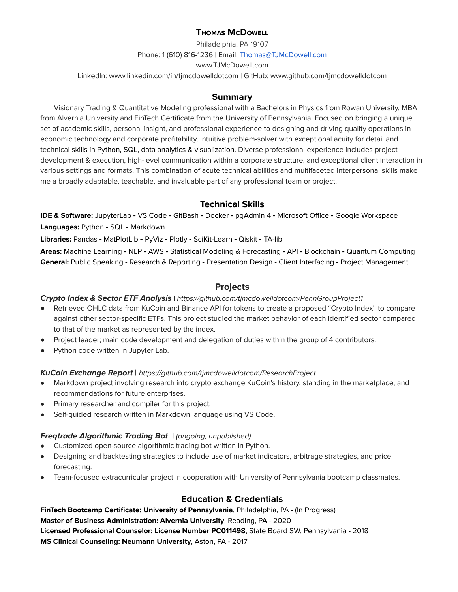# **THOMAS MCDOWELL**

Philadelphia, PA 19107 Phone: 1 (610) 816-1236 | Email: [Thomas@TJMcDowell.com](mailto:Thomas@TJMcDowell.com) www.TJMcDowell.com

LinkedIn: www.linkedin.com/in/tjmcdowelldotcom | GitHub: www.github.com/tjmcdowelldotcom

## **Summary**

Visionary Trading & Quantitative Modeling professional with a Bachelors in Physics from Rowan University, MBA from Alvernia University and FinTech Certificate from the University of Pennsylvania. Focused on bringing a unique set of academic skills, personal insight, and professional experience to designing and driving quality operations in economic technology and corporate profitability. Intuitive problem-solver with exceptional acuity for detail and technical skills in Python, SQL, data analytics & visualization. Diverse professional experience includes project development & execution, high-level communication within a corporate structure, and exceptional client interaction in various settings and formats. This combination of acute technical abilities and multifaceted interpersonal skills make me a broadly adaptable, teachable, and invaluable part of any professional team or project.

# **Technical Skills**

**IDE & Software:** JupyterLab **-** VS Code **-** GitBash **-** Docker **-** pgAdmin 4 **-** Microsoft Office **-** Google Workspace **Languages:** Python **-** SQL **-** Markdown

**Libraries:** Pandas **-** MatPlotLib **-** PyViz **-** Plotly **-** SciKit-Learn **-** Qiskit **-** TA-lib

**Areas:** Machine Learning **-** NLP **-** AWS **-** Statistical Modeling & Forecasting **-** API **-** Blockchain **-** Quantum Computing **General:** Public Speaking **-** Research & Reporting **-** Presentation Design **-** Client Interfacing **-** Project Management

# **Projects**

#### **Crypto Index & Sector ETF Analysis |** <https://github.com/tjmcdowelldotcom/PennGroupProject1>

- Retrieved OHLC data from KuCoin and Binance API for tokens to create a proposed "Crypto Index" to compare against other sector-specific ETFs. This project studied the market behavior of each identified sector compared to that of the market as represented by the index.
- Project leader; main code development and delegation of duties within the group of 4 contributors.
- Python code written in Jupyter Lab.

#### **KuCoin Exchange Report |** <https://github.com/tjmcdowelldotcom/ResearchProject>

- **●** Markdown project involving research into crypto exchange KuCoin's history, standing in the marketplace, and recommendations for future enterprises.
- Primary researcher and compiler for this project.
- Self-guided research written in Markdown language using VS Code.

# **Freqtrade Algorithmic Trading Bot |** (ongoing, unpublished)

- **●** Customized open-source algorithmic trading bot written in Python.
- **●** Designing and backtesting strategies to include use of market indicators, arbitrage strategies, and price forecasting.
- **●** Team-focused extracurricular project in cooperation with University of Pennsylvania bootcamp classmates.

# **Education & Credentials**

**FinTech Bootcamp Certificate: University of Pennsylvania**, Philadelphia, PA - (In Progress) **Master of Business Administration: Alvernia University**, Reading, PA - 2020 **Licensed Professional Counselor: License Number PC011498**, State Board SW, Pennsylvania - 2018 **MS Clinical Counseling: Neumann University**, Aston, PA - 2017